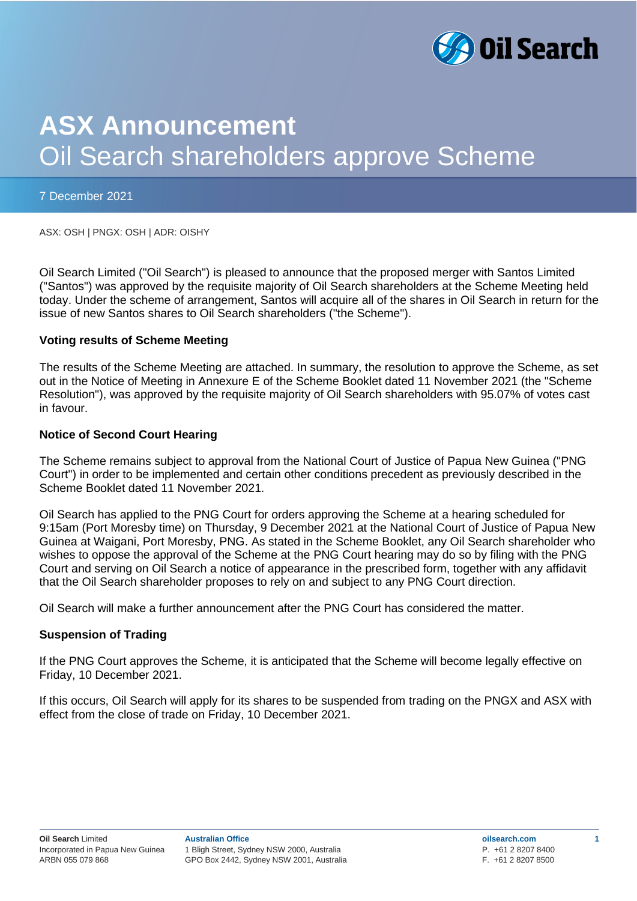

# **ASX Announcement** Oil Search shareholders approve Scheme

#### 7 December 2021

ASX: OSH | PNGX: OSH | ADR: OISHY

Oil Search Limited ("Oil Search") is pleased to announce that the proposed merger with Santos Limited ("Santos") was approved by the requisite majority of Oil Search shareholders at the Scheme Meeting held today. Under the scheme of arrangement, Santos will acquire all of the shares in Oil Search in return for the issue of new Santos shares to Oil Search shareholders ("the Scheme").

## **Voting results of Scheme Meeting**

The results of the Scheme Meeting are attached. In summary, the resolution to approve the Scheme, as set out in the Notice of Meeting in Annexure E of the Scheme Booklet dated 11 November 2021 (the "Scheme Resolution"), was approved by the requisite majority of Oil Search shareholders with 95.07% of votes cast in favour.

## **Notice of Second Court Hearing**

The Scheme remains subject to approval from the National Court of Justice of Papua New Guinea ("PNG Court") in order to be implemented and certain other conditions precedent as previously described in the Scheme Booklet dated 11 November 2021.

Oil Search has applied to the PNG Court for orders approving the Scheme at a hearing scheduled for 9:15am (Port Moresby time) on Thursday, 9 December 2021 at the National Court of Justice of Papua New Guinea at Waigani, Port Moresby, PNG. As stated in the Scheme Booklet, any Oil Search shareholder who wishes to oppose the approval of the Scheme at the PNG Court hearing may do so by filing with the PNG Court and serving on Oil Search a notice of appearance in the prescribed form, together with any affidavit that the Oil Search shareholder proposes to rely on and subject to any PNG Court direction.

Oil Search will make a further announcement after the PNG Court has considered the matter.

# **Suspension of Trading**

If the PNG Court approves the Scheme, it is anticipated that the Scheme will become legally effective on Friday, 10 December 2021.

If this occurs, Oil Search will apply for its shares to be suspended from trading on the PNGX and ASX with effect from the close of trade on Friday, 10 December 2021.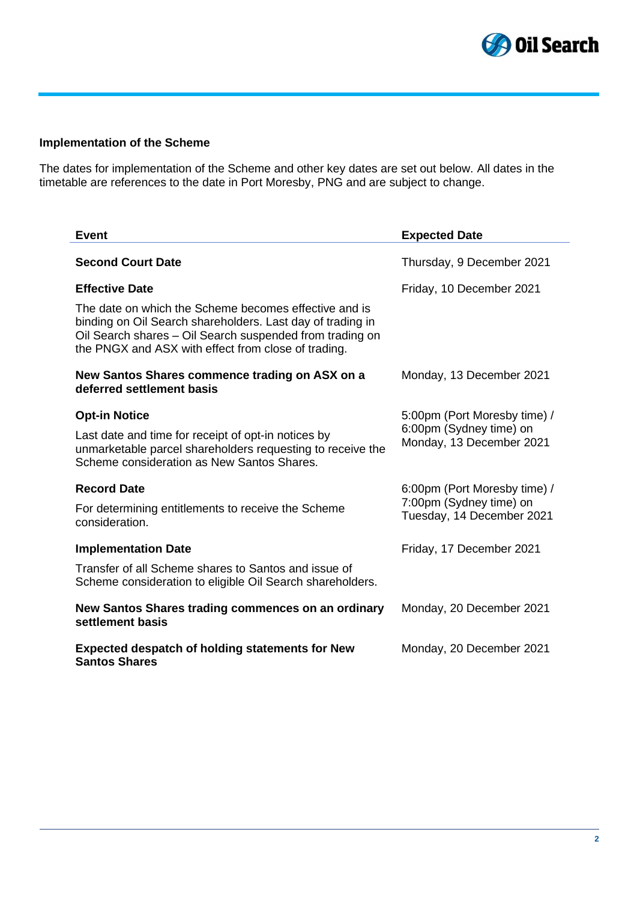

# **Implementation of the Scheme**

The dates for implementation of the Scheme and other key dates are set out below. All dates in the timetable are references to the date in Port Moresby, PNG and are subject to change.

| <b>Event</b>                                                                                                                                                                                                                           | <b>Expected Date</b>                                 |  |  |  |
|----------------------------------------------------------------------------------------------------------------------------------------------------------------------------------------------------------------------------------------|------------------------------------------------------|--|--|--|
| <b>Second Court Date</b>                                                                                                                                                                                                               | Thursday, 9 December 2021                            |  |  |  |
| <b>Effective Date</b>                                                                                                                                                                                                                  | Friday, 10 December 2021                             |  |  |  |
| The date on which the Scheme becomes effective and is<br>binding on Oil Search shareholders. Last day of trading in<br>Oil Search shares - Oil Search suspended from trading on<br>the PNGX and ASX with effect from close of trading. |                                                      |  |  |  |
| New Santos Shares commence trading on ASX on a<br>deferred settlement basis                                                                                                                                                            | Monday, 13 December 2021                             |  |  |  |
| <b>Opt-in Notice</b>                                                                                                                                                                                                                   | 5:00pm (Port Moresby time) /                         |  |  |  |
| Last date and time for receipt of opt-in notices by<br>unmarketable parcel shareholders requesting to receive the<br>Scheme consideration as New Santos Shares.                                                                        | 6:00pm (Sydney time) on<br>Monday, 13 December 2021  |  |  |  |
| <b>Record Date</b>                                                                                                                                                                                                                     | 6:00pm (Port Moresby time) /                         |  |  |  |
| For determining entitlements to receive the Scheme<br>consideration.                                                                                                                                                                   | 7:00pm (Sydney time) on<br>Tuesday, 14 December 2021 |  |  |  |
| <b>Implementation Date</b>                                                                                                                                                                                                             | Friday, 17 December 2021                             |  |  |  |
| Transfer of all Scheme shares to Santos and issue of<br>Scheme consideration to eligible Oil Search shareholders.                                                                                                                      |                                                      |  |  |  |
| New Santos Shares trading commences on an ordinary<br>settlement basis                                                                                                                                                                 | Monday, 20 December 2021                             |  |  |  |
| <b>Expected despatch of holding statements for New</b><br><b>Santos Shares</b>                                                                                                                                                         | Monday, 20 December 2021                             |  |  |  |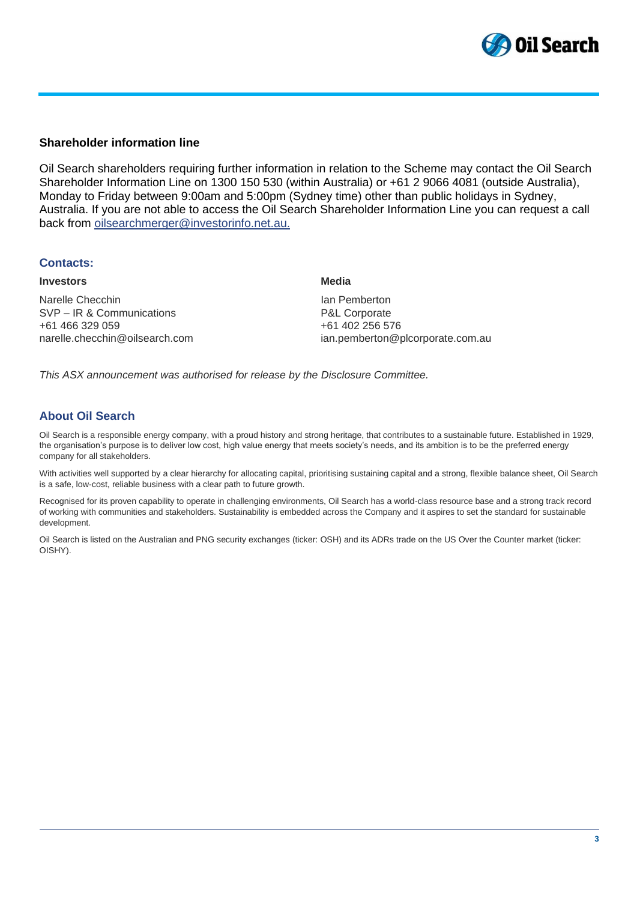

#### **Shareholder information line**

Oil Search shareholders requiring further information in relation to the Scheme may contact the Oil Search Shareholder Information Line on 1300 150 530 (within Australia) or +61 2 9066 4081 (outside Australia), Monday to Friday between 9:00am and 5:00pm (Sydney time) other than public holidays in Sydney, Australia. If you are not able to access the Oil Search Shareholder Information Line you can request a call back from [oilsearchmerger@investorinfo.net.au.](mailto:oilsearchmerger@investorinfo.net.au)

#### **Contacts:**

#### **Investors**

Narelle Checchin SVP – IR & Communications +61 466 329 059 narelle.checchin@oilsearch.com

#### **Media**

Ian Pemberton P&L Corporate +61 402 256 576 ian.pemberton@plcorporate.com.au

*This ASX announcement was authorised for release by the Disclosure Committee.*

# **About Oil Search**

Oil Search is a responsible energy company, with a proud history and strong heritage, that contributes to a sustainable future. Established in 1929, the organisation's purpose is to deliver low cost, high value energy that meets society's needs, and its ambition is to be the preferred energy company for all stakeholders.

With activities well supported by a clear hierarchy for allocating capital, prioritising sustaining capital and a strong, flexible balance sheet, Oil Search is a safe, low-cost, reliable business with a clear path to future growth.

Recognised for its proven capability to operate in challenging environments, Oil Search has a world-class resource base and a strong track record of working with communities and stakeholders. Sustainability is embedded across the Company and it aspires to set the standard for sustainable development.

Oil Search is listed on the Australian and PNG security exchanges (ticker: OSH) and its ADRs trade on the US Over the Counter market (ticker: OISHY).